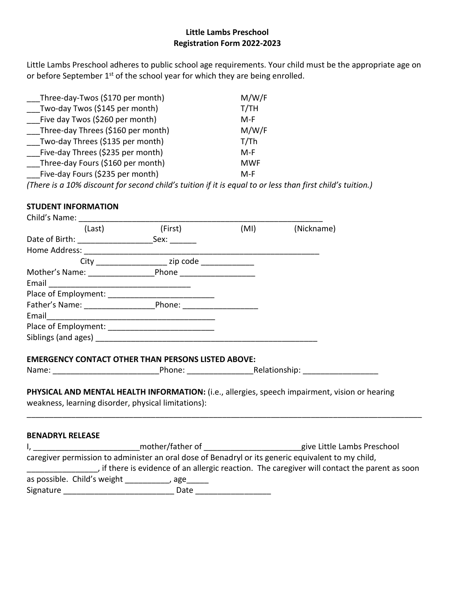## **Little Lambs Preschool Registration Form 2022-2023**

Little Lambs Preschool adheres to public school age requirements. Your child must be the appropriate age on or before September 1<sup>st</sup> of the school year for which they are being enrolled.

| Three-day-Twos (\$170 per month)   | M/W/F      |
|------------------------------------|------------|
| Two-day Twos (\$145 per month)     | T/TH       |
| Five day Twos (\$260 per month)    | M-F        |
| Three-day Threes (\$160 per month) | M/W/F      |
| Two-day Threes (\$135 per month)   | T/Th       |
| Five-day Threes (\$235 per month)  | M-F        |
| Three-day Fours (\$160 per month)  | <b>MWF</b> |
| Five-day Fours (\$235 per month)   | M-F        |
|                                    |            |

*(There is a 10% discount for second child's tuition if it is equal to or less than first child's tuition.)*

## **STUDENT INFORMATION**

| Child's Name: The Child's Name: The Child's Name: The Child's Name: The Child's Name: The Child's Name: The Child |                         |                                                                                                        |
|-------------------------------------------------------------------------------------------------------------------|-------------------------|--------------------------------------------------------------------------------------------------------|
| (Last)                                                                                                            | (First) (MI) (Nickname) |                                                                                                        |
|                                                                                                                   |                         |                                                                                                        |
|                                                                                                                   |                         |                                                                                                        |
|                                                                                                                   |                         |                                                                                                        |
| Mother's Name: Phone Phone                                                                                        |                         |                                                                                                        |
| Email <u>___________________________________</u>                                                                  |                         |                                                                                                        |
|                                                                                                                   |                         |                                                                                                        |
| Father's Name: Phone: Phone:                                                                                      |                         |                                                                                                        |
|                                                                                                                   |                         |                                                                                                        |
|                                                                                                                   |                         |                                                                                                        |
|                                                                                                                   |                         |                                                                                                        |
|                                                                                                                   |                         |                                                                                                        |
| <b>EMERGENCY CONTACT OTHER THAN PERSONS LISTED ABOVE:</b>                                                         |                         |                                                                                                        |
|                                                                                                                   |                         |                                                                                                        |
|                                                                                                                   |                         |                                                                                                        |
|                                                                                                                   |                         | PHYSICAL AND MENTAL HEALTH INFORMATION: (i.e., allergies, speech impairment, vision or hearing         |
| weakness, learning disorder, physical limitations):                                                               |                         |                                                                                                        |
|                                                                                                                   |                         |                                                                                                        |
|                                                                                                                   |                         |                                                                                                        |
| <b>BENADRYL RELEASE</b>                                                                                           |                         |                                                                                                        |
|                                                                                                                   |                         | I, _____________________________mother/father of ________________________give Little Lambs Preschool   |
|                                                                                                                   |                         | caregiver permission to administer an oral dose of Benadryl or its generic equivalent to my child,     |
|                                                                                                                   |                         | if there is evidence of an allergic reaction. The caregiver will contact the parent as soon (included) |
| a maaailaha Childha wataha ka kale yaa waxay waxay waxay waxay waxay waxay waxay waxay waxay waxay waxay waxay    |                         |                                                                                                        |

as possible. Child's weight \_\_\_\_\_\_\_\_\_, age\_\_\_\_\_

Signature \_\_\_\_\_\_\_\_\_\_\_\_\_\_\_\_\_\_\_\_\_\_\_\_\_ Date \_\_\_\_\_\_\_\_\_\_\_\_\_\_\_\_\_